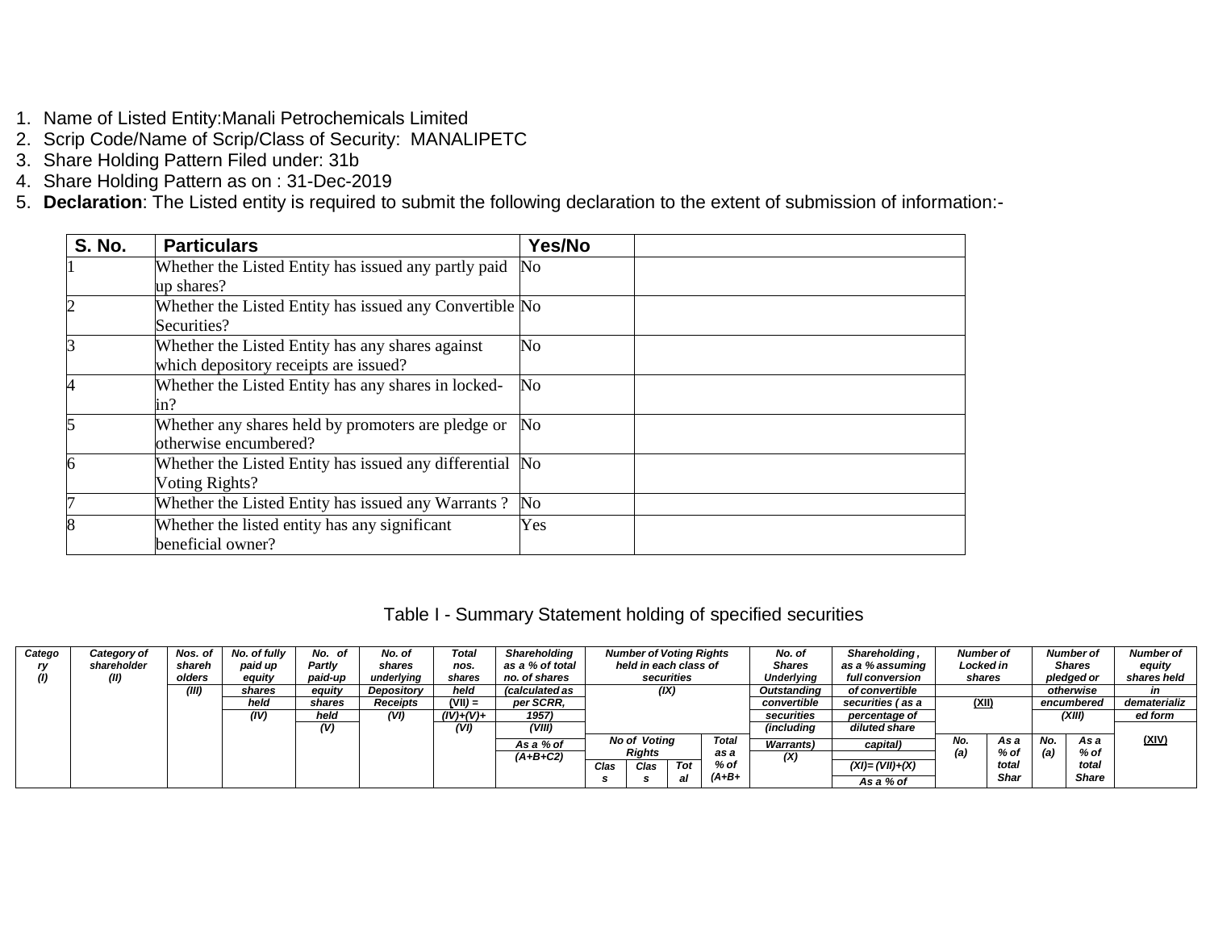- 1. Name of Listed Entity:Manali Petrochemicals Limited
- 2. Scrip Code/Name of Scrip/Class of Security: MANALIPETC
- 3. Share Holding Pattern Filed under: 31b
- 4. Share Holding Pattern as on : 31-Dec-2019
- 5. **Declaration**: The Listed entity is required to submit the following declaration to the extent of submission of information:-

| <b>S. No.</b> | <b>Particulars</b>                                       | Yes/No         |  |
|---------------|----------------------------------------------------------|----------------|--|
|               | Whether the Listed Entity has issued any partly paid     | No             |  |
|               | up shares?                                               |                |  |
|               | Whether the Listed Entity has issued any Convertible No  |                |  |
|               | Securities?                                              |                |  |
| 3             | Whether the Listed Entity has any shares against         | N <sub>o</sub> |  |
|               | which depository receipts are issued?                    |                |  |
|               | Whether the Listed Entity has any shares in locked-      | N <sub>o</sub> |  |
|               | in?                                                      |                |  |
|               | Whether any shares held by promoters are pledge or       | No.            |  |
|               | otherwise encumbered?                                    |                |  |
| 6             | Whether the Listed Entity has issued any differential No |                |  |
|               | Voting Rights?                                           |                |  |
|               | Whether the Listed Entity has issued any Warrants?       | No             |  |
| 8             | Whether the listed entity has any significant            | Yes            |  |
|               | beneficial owner?                                        |                |  |

## Table I - Summary Statement holding of specified securities

| Catego | Category of | Nos. of | No. of fully | No. of  | No. of          | Total       | Shareholding          |      | <b>Number of Voting Rights</b> |            |         | No. of            | Shareholding,      | Number of |             |     | <b>Number of</b> | <b>Number of</b> |
|--------|-------------|---------|--------------|---------|-----------------|-------------|-----------------------|------|--------------------------------|------------|---------|-------------------|--------------------|-----------|-------------|-----|------------------|------------------|
|        | shareholder | shareh  | paid up      | Partly  | shares          | nos.        | as a % of total       |      | held in each class of          |            |         | <b>Shares</b>     | as a % assuming    | Locked in |             |     | <b>Shares</b>    | equity           |
|        | (II)        | olders  | equity       | paid-up | underlying      | shares      | no, of shares         |      |                                | securities |         | <b>Underlying</b> | full conversion    | shares    |             |     | pledged or       | shares held      |
|        |             | (III)   | shares       | equity  | Depository      | held        | <i>(calculated as</i> |      | (IX)                           |            |         | Outstanding       | of convertible     |           |             |     | otherwise        |                  |
|        |             |         | held         | shares  | <b>Receipts</b> | $(VII) =$   | per SCRR.             |      |                                |            |         | convertible       | securities (as a   | (XII)     |             |     | encumbered       | dematerializ     |
|        |             |         | (IV)         | held    | (VI)            | $(IV)+(V)+$ | 1957)                 |      |                                |            |         | securities        | percentage of      |           |             |     | (XIII)           | ed form          |
|        |             |         |              | (V)     |                 | (VI)        | (VIII)                |      |                                |            |         | <i>(including</i> | diluted share      |           |             |     |                  |                  |
|        |             |         |              |         |                 |             | As a % of             |      | <b>No of Voting</b>            |            | Total   | <b>Warrants</b> ) | capital)           | No.       | As a        | No. | As a             | (XIV)            |
|        |             |         |              |         |                 |             | $(A+B+C2)$            |      | <b>Rights</b>                  |            | as a    | (X)               |                    | (a)       | % of        | (a) | % of             |                  |
|        |             |         |              |         |                 |             |                       | Clas | Clas                           | <b>Tot</b> | % of    |                   | $(XI) = (VII)+(X)$ |           | total       |     | total            |                  |
|        |             |         |              |         |                 |             |                       |      |                                | al         | $(A+B+$ |                   | As a % of          |           | <b>Shar</b> |     | <b>Share</b>     |                  |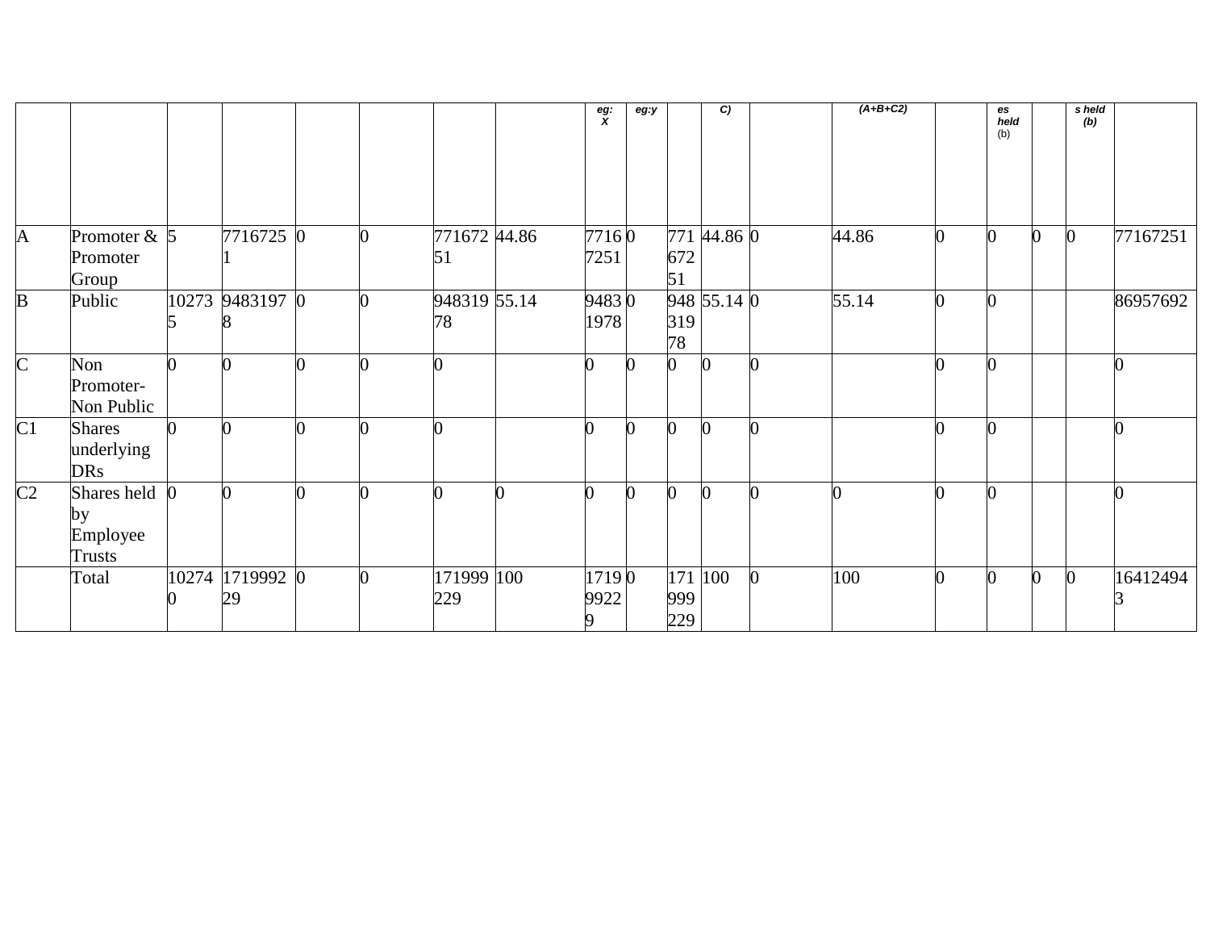|                |                                           |       |                       |  |                    |          | $\frac{eg}{x}$ | eg:y |                   | C           |          | $(A+B+C2)$ |   | es<br>held<br>(b) |   | s held<br>(b) |          |
|----------------|-------------------------------------------|-------|-----------------------|--|--------------------|----------|----------------|------|-------------------|-------------|----------|------------|---|-------------------|---|---------------|----------|
| $\mathsf{A}$   | Promoter $\&$ 5<br>Promoter<br>Group      |       | 7716725 0             |  | 771672 44.86<br>51 |          | 77160<br>7251  |      | 672<br>51         | 771 44.86 0 |          | 44.86      | ∩ |                   | 0 |               | 77167251 |
| B              | Public                                    | 10273 | 9483197 0             |  | 948319 55.14<br>78 |          | 94830<br>1978  |      | 319<br>78         | 948 55.14 0 |          | 55.14      |   |                   |   |               | 86957692 |
| $\mathbf C$    | Non<br>Promoter-<br>Non Public            |       |                       |  |                    |          |                |      |                   | n           |          |            |   |                   |   |               |          |
| C1             | <b>Shares</b><br>underlying<br><b>DRs</b> |       |                       |  |                    |          |                |      |                   |             |          |            |   |                   |   |               |          |
| C <sub>2</sub> | Shares held<br>by<br>Employee<br>Trusts   |       | ∩                     |  |                    | $\Omega$ | U              |      | 0                 | n           | $\Omega$ |            |   |                   |   |               |          |
|                | Total                                     |       | 10274 1719992 0<br>29 |  | 171999 100<br>229  |          | 17190<br>9922  |      | 171<br>999<br>229 | 100         | $\bf{0}$ | 100        |   |                   | U |               | 16412494 |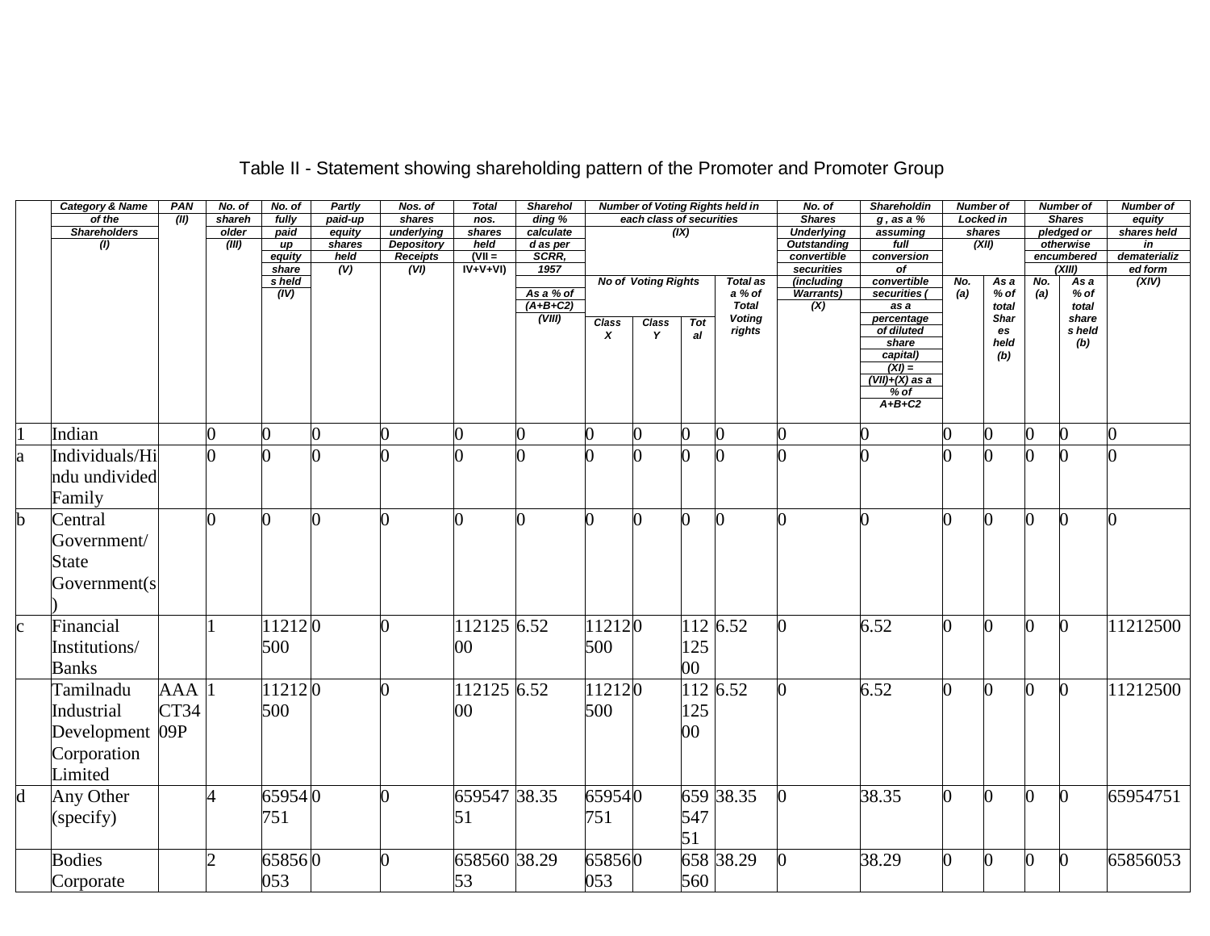|             | <b>Category &amp; Name</b> | PAN  | No. of | No. of         | <b>Partly</b>  | Nos. of                              | <b>Total</b>     | <b>Sharehol</b>   |        |                            |      | <b>Number of Voting Rights held in</b> | No. of                            | Shareholdin                    |     | <b>Number of</b> |     | Number of               | <b>Number of</b>   |
|-------------|----------------------------|------|--------|----------------|----------------|--------------------------------------|------------------|-------------------|--------|----------------------------|------|----------------------------------------|-----------------------------------|--------------------------------|-----|------------------|-----|-------------------------|--------------------|
|             | of the                     | (II) | shareh | fully          | paid-up        | shares                               | nos.             | ding %            |        | each class of securities   |      |                                        | <b>Shares</b>                     | $g$ , as a $%$                 |     | Locked in        |     | <b>Shares</b>           | equity             |
|             | <b>Shareholders</b>        |      | older  | paid           | equity         | underlying                           | shares           | calculate         |        |                            | (IX) |                                        | <b>Underlying</b>                 | assuming                       |     | shares           |     | pledged or              | shares held        |
|             | (1)                        |      | (III)  | up<br>equity   | shares<br>held | <b>Depository</b><br><b>Receipts</b> | held<br>$(VII =$ | d as per<br>SCRR, |        |                            |      |                                        | <b>Outstanding</b><br>convertible | full<br>conversion             |     | (XII)            |     | otherwise<br>encumbered | in<br>dematerializ |
|             |                            |      |        | share          | (V)            | $\overline{(VI)}$                    | $IV+V+VI$        | 1957              |        |                            |      |                                        | securities                        | $\overline{of}$                |     |                  |     | (XIII)                  | ed form            |
|             |                            |      |        | s held         |                |                                      |                  |                   |        | <b>No of Voting Rights</b> |      | <b>Total as</b>                        | (including                        | convertible                    | No. | Asa              | No. | As a                    | (XIV)              |
|             |                            |      |        | (IV)           |                |                                      |                  | As a % of         |        |                            |      | a % of                                 | <b>Warrants)</b>                  | securities (                   | (a) | $%$ of           | (a) | $%$ of                  |                    |
|             |                            |      |        |                |                |                                      |                  | $(A+B+C2)$        |        |                            |      | <b>Total</b>                           | (X)                               | as a                           |     | total            |     | total                   |                    |
|             |                            |      |        |                |                |                                      |                  | (VIII)            | Class  | <b>Class</b>               | Tot  | <b>Voting</b>                          |                                   | percentage<br>of diluted       |     | Shar             |     | share                   |                    |
|             |                            |      |        |                |                |                                      |                  |                   | x      | Y                          | al   | rights                                 |                                   | share                          |     | es<br>held       |     | s held<br>(b)           |                    |
|             |                            |      |        |                |                |                                      |                  |                   |        |                            |      |                                        |                                   | capital)                       |     | (b)              |     |                         |                    |
|             |                            |      |        |                |                |                                      |                  |                   |        |                            |      |                                        |                                   | $(XI) =$                       |     |                  |     |                         |                    |
|             |                            |      |        |                |                |                                      |                  |                   |        |                            |      |                                        |                                   | $(VII)+(X)$ as a               |     |                  |     |                         |                    |
|             |                            |      |        |                |                |                                      |                  |                   |        |                            |      |                                        |                                   | $\frac{\% \text{ of}}{A+B+C2}$ |     |                  |     |                         |                    |
|             |                            |      |        |                |                |                                      |                  |                   |        |                            |      |                                        |                                   |                                |     |                  |     |                         |                    |
|             | Indian                     |      | O      | $\overline{0}$ | 0              |                                      | O.               | <sup>0</sup>      |        |                            |      |                                        |                                   |                                |     | 0                | 0   |                         | 0                  |
| la          | Individuals/Hi             |      |        |                |                |                                      |                  |                   |        |                            |      |                                        |                                   |                                |     |                  | n   |                         |                    |
|             | ndu undivided              |      |        |                |                |                                      |                  |                   |        |                            |      |                                        |                                   |                                |     |                  |     |                         |                    |
|             | Family                     |      |        |                |                |                                      |                  |                   |        |                            |      |                                        |                                   |                                |     |                  |     |                         |                    |
| ľh          | Central                    |      | ∩      | <sub>0</sub>   | 0              |                                      | 0                | n                 |        |                            | 0    |                                        |                                   | ∩                              |     |                  | 0   |                         | O.                 |
|             |                            |      |        |                |                |                                      |                  |                   |        |                            |      |                                        |                                   |                                |     |                  |     |                         |                    |
|             | Government/                |      |        |                |                |                                      |                  |                   |        |                            |      |                                        |                                   |                                |     |                  |     |                         |                    |
|             | State                      |      |        |                |                |                                      |                  |                   |        |                            |      |                                        |                                   |                                |     |                  |     |                         |                    |
|             | Government(s               |      |        |                |                |                                      |                  |                   |        |                            |      |                                        |                                   |                                |     |                  |     |                         |                    |
|             |                            |      |        |                |                |                                      |                  |                   |        |                            |      |                                        |                                   |                                |     |                  |     |                         |                    |
|             | Financial                  |      |        | 112120         |                |                                      | 112125 6.52      |                   | 112120 |                            |      | 112 6.52                               |                                   | 6.52                           |     |                  | 0   |                         | 11212500           |
|             | Institutions/              |      |        | 500            |                |                                      | 00               |                   | 500    |                            | 125  |                                        |                                   |                                |     |                  |     |                         |                    |
|             |                            |      |        |                |                |                                      |                  |                   |        |                            |      |                                        |                                   |                                |     |                  |     |                         |                    |
|             | <b>Banks</b>               |      |        |                |                |                                      |                  |                   |        |                            | 00   |                                        |                                   |                                |     |                  |     |                         |                    |
|             | Tamilnadu                  | AAA  |        | 112120         |                |                                      | 112125 6.52      |                   | 112120 |                            |      | 112 6.52                               |                                   | 6.52                           | ∩   |                  | 0   |                         | 11212500           |
|             | Industrial                 | CT34 |        | 500            |                |                                      | 00               |                   | 500    |                            | 125  |                                        |                                   |                                |     |                  |     |                         |                    |
|             | Development 09P            |      |        |                |                |                                      |                  |                   |        |                            | 00   |                                        |                                   |                                |     |                  |     |                         |                    |
|             | Corporation                |      |        |                |                |                                      |                  |                   |        |                            |      |                                        |                                   |                                |     |                  |     |                         |                    |
|             | Limited                    |      |        |                |                |                                      |                  |                   |        |                            |      |                                        |                                   |                                |     |                  |     |                         |                    |
| $\mathbf d$ | Any Other                  |      | 4      | 659540         |                |                                      | 659547 38.35     |                   | 659540 |                            |      | 659 38.35                              |                                   | 38.35                          | 0   |                  | O   |                         | 65954751           |
|             |                            |      |        | 751            |                |                                      | 51               |                   | 751    |                            | 547  |                                        |                                   |                                |     |                  |     |                         |                    |
|             | (specify)                  |      |        |                |                |                                      |                  |                   |        |                            | 51   |                                        |                                   |                                |     |                  |     |                         |                    |
|             | <b>Bodies</b>              |      | n.     | 658560         |                |                                      | 658560 38.29     |                   | 658560 |                            |      | 658 38.29                              |                                   | 38.29                          | 0   |                  | 0   |                         | 65856053           |
|             |                            |      |        | 053            |                |                                      | 53               |                   | 053    |                            | 560  |                                        |                                   |                                |     |                  |     |                         |                    |
|             | Corporate                  |      |        |                |                |                                      |                  |                   |        |                            |      |                                        |                                   |                                |     |                  |     |                         |                    |

## Table II - Statement showing shareholding pattern of the Promoter and Promoter Group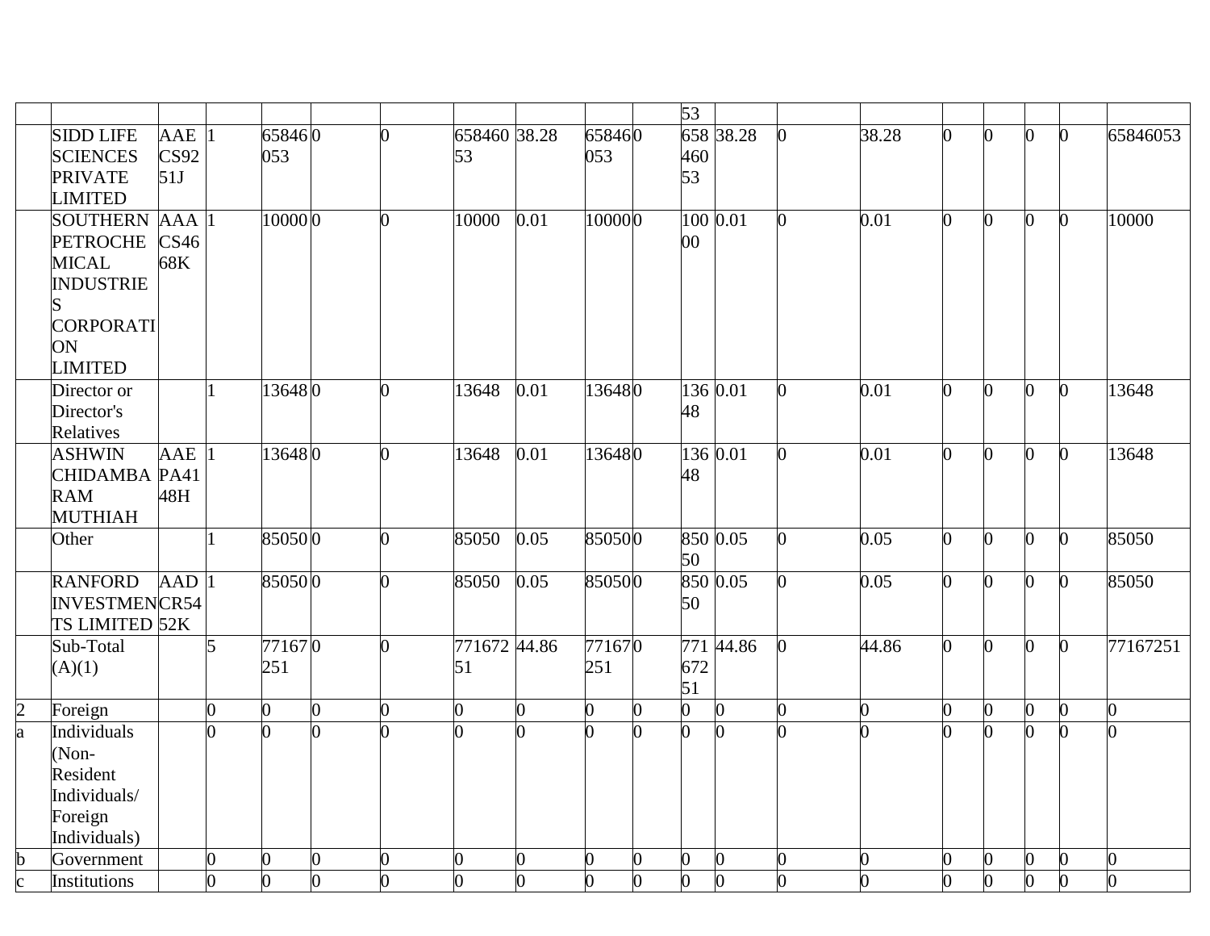|               |                      |                    |                |                |                |                |                |      |        |   | $\overline{53}$ |           |   |                |                |                  |                |                |          |
|---------------|----------------------|--------------------|----------------|----------------|----------------|----------------|----------------|------|--------|---|-----------------|-----------|---|----------------|----------------|------------------|----------------|----------------|----------|
|               | <b>SIDD LIFE</b>     | $AAE$  1           |                | 658460         |                | ∩              | 658460 38.28   |      | 658460 |   |                 | 658 38.28 |   | 38.28          | 0              | $\Omega$         | ∩              | b              | 65846053 |
|               | <b>SCIENCES</b>      | CS92               |                | 053            |                |                | 53             |      | 053    |   | 460             |           |   |                |                |                  |                |                |          |
|               | <b>PRIVATE</b>       | 51J                |                |                |                |                |                |      |        |   | 53              |           |   |                |                |                  |                |                |          |
|               | <b>LIMITED</b>       |                    |                |                |                |                |                |      |        |   |                 |           |   |                |                |                  |                |                |          |
|               | <b>SOUTHERN</b>      | <b>AAA</b>         |                | 10000 0        |                | $\Omega$       | 10000          | 0.01 | 100000 |   |                 | 100 0.01  | 0 | 0.01           | $\overline{0}$ | $\overline{0}$   | b.             | $\mathbf{0}$   | 10000    |
|               | <b>PETROCHE</b>      | CS <sub>46</sub>   |                |                |                |                |                |      |        |   | $00\,$          |           |   |                |                |                  |                |                |          |
|               | <b>MICAL</b>         | 68K                |                |                |                |                |                |      |        |   |                 |           |   |                |                |                  |                |                |          |
|               | <b>INDUSTRIE</b>     |                    |                |                |                |                |                |      |        |   |                 |           |   |                |                |                  |                |                |          |
|               |                      |                    |                |                |                |                |                |      |        |   |                 |           |   |                |                |                  |                |                |          |
|               | CORPORATI            |                    |                |                |                |                |                |      |        |   |                 |           |   |                |                |                  |                |                |          |
|               | ON                   |                    |                |                |                |                |                |      |        |   |                 |           |   |                |                |                  |                |                |          |
|               | <b>LIMITED</b>       |                    |                |                |                |                |                |      |        |   |                 |           |   |                |                |                  |                |                |          |
|               | Director or          |                    |                | 136480         |                | O.             | 13648          | 0.01 | 136480 |   |                 | 136 0.01  | O | 0.01           | O.             | $\overline{0}$   | $\overline{0}$ | $\overline{0}$ | 13648    |
|               | Director's           |                    |                |                |                |                |                |      |        |   | 48              |           |   |                |                |                  |                |                |          |
|               | Relatives            |                    |                |                |                |                |                |      |        |   |                 |           |   |                |                |                  |                |                |          |
|               | <b>ASHWIN</b>        | AAE                |                | 136480         |                | $\overline{0}$ | 13648          | 0.01 | 136480 |   |                 | 136 0.01  | O | 0.01           | $\Omega$       | $\overline{0}$   | $\overline{0}$ | $\mathbf{0}$   | 13648    |
|               | CHIDAMBA PA41        |                    |                |                |                |                |                |      |        |   | 48              |           |   |                |                |                  |                |                |          |
|               | <b>RAM</b>           | 48H                |                |                |                |                |                |      |        |   |                 |           |   |                |                |                  |                |                |          |
|               | <b>MUTHIAH</b>       |                    |                |                |                |                |                |      |        |   |                 |           |   |                |                |                  |                |                |          |
|               | Other                |                    |                | 850500         |                | $\overline{0}$ | 85050          | 0.05 | 850500 |   |                 | 850 0.05  | ∩ | 0.05           | $\overline{0}$ | $\mathbf{0}$     | $\overline{0}$ | $\mathbf{0}$   | 85050    |
|               |                      |                    |                |                |                |                |                |      |        |   | 50              |           |   |                |                |                  |                |                |          |
|               | <b>RANFORD</b>       | $AAD$ <sup>1</sup> |                | 850500         |                | $\overline{0}$ | 85050          | 0.05 | 850500 |   |                 | 850 0.05  |   | 0.05           | $\Omega$       | $\overline{0}$   | O.             | $\overline{0}$ | 85050    |
|               | <b>INVESTMENCR54</b> |                    |                |                |                |                |                |      |        |   | 50              |           |   |                |                |                  |                |                |          |
|               | TS LIMITED 52K       |                    |                |                |                |                |                |      |        |   |                 |           |   |                |                |                  |                |                |          |
|               | Sub-Total            |                    | 5              | 771670         |                | $\overline{0}$ | 771672 44.86   |      | 771670 |   | 771             | 44.86     |   | $\sqrt{44.86}$ | $\overline{0}$ | $\overline{0}$   | $\overline{0}$ | $\overline{0}$ | 77167251 |
|               | (A)(1)               |                    |                | 251            |                |                | 51             |      | 251    |   | 672             |           |   |                |                |                  |                |                |          |
|               |                      |                    |                |                |                |                |                |      |        |   | 51              |           |   |                |                |                  |                |                |          |
| $\frac{2}{a}$ | Foreign              |                    | $\Omega$       | O.             | 0              | 0              | $\overline{0}$ | 0    | 0      |   | 0               |           |   | 0              | 0              | 0                | $\Omega$       | $\bf{0}$       | n.       |
|               | Individuals          |                    | O.             | $\Omega$       | 0              |                | 0              | ∩    | ሰ      |   | $\Omega$        |           |   |                |                | $\overline{0}$   | 0              | $\overline{0}$ |          |
|               | (Non-                |                    |                |                |                |                |                |      |        |   |                 |           |   |                |                |                  |                |                |          |
|               | Resident             |                    |                |                |                |                |                |      |        |   |                 |           |   |                |                |                  |                |                |          |
|               | Individuals/         |                    |                |                |                |                |                |      |        |   |                 |           |   |                |                |                  |                |                |          |
|               | Foreign              |                    |                |                |                |                |                |      |        |   |                 |           |   |                |                |                  |                |                |          |
|               | Individuals)         |                    |                |                |                |                |                |      |        |   |                 |           |   |                |                |                  |                |                |          |
| $rac{b}{c}$   | Government           |                    | $\overline{0}$ | 0              | 0              | 0              | 0              | 0    | 0      |   | 0               |           |   | በ              | 0              | $\boldsymbol{0}$ | $\overline{0}$ | $\bf{0}$       | 0        |
|               | Institutions         |                    | $\overline{0}$ | $\overline{0}$ | $\overline{0}$ | 0              | $\overline{0}$ | 0    | 0      | 0 | $\overline{0}$  |           |   |                | $\Omega$       | $\Omega$         | $\overline{0}$ | $\mathbf{0}$   | 0        |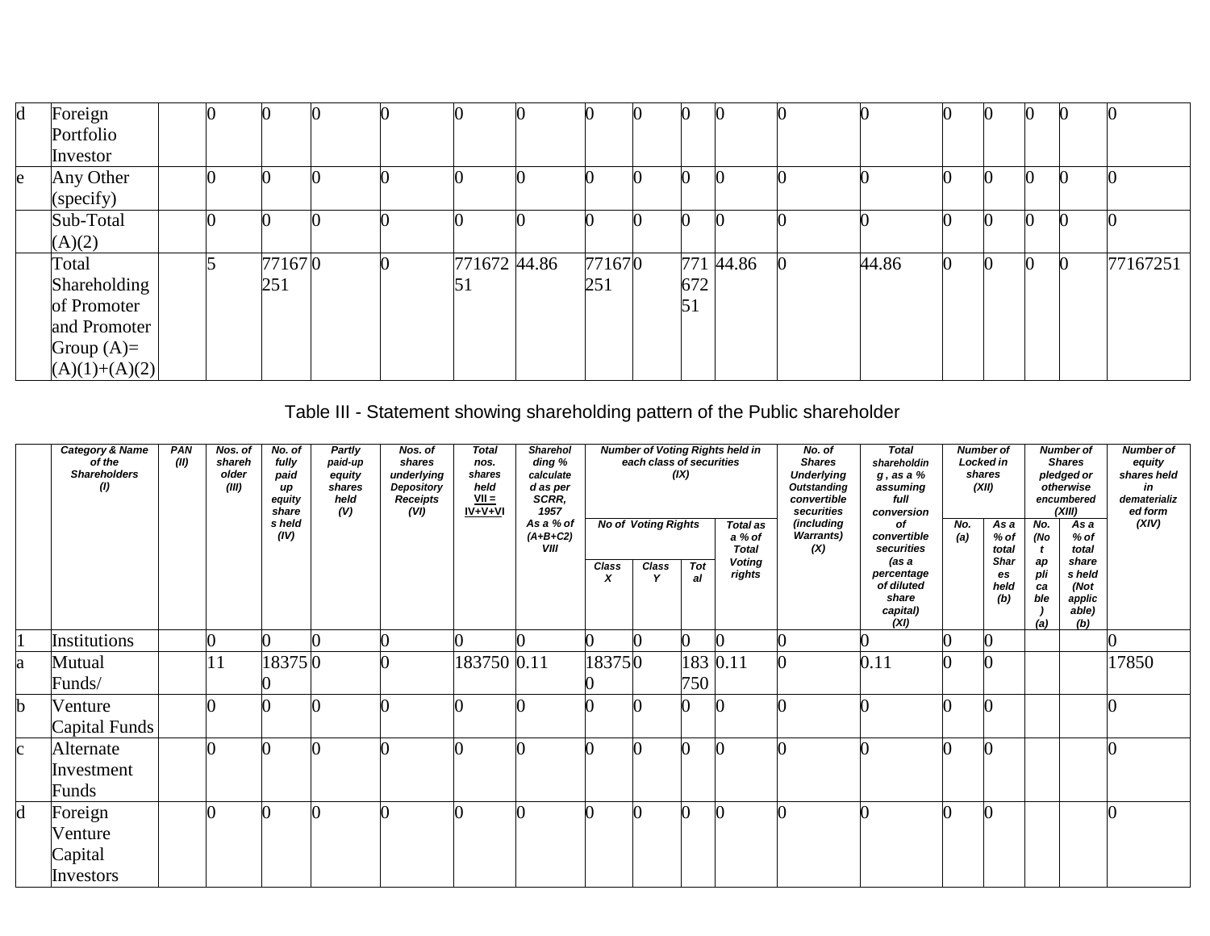| $\mathbf d$ | Foreign         |  |        |  |              |        |     |           |       |  |  |          |
|-------------|-----------------|--|--------|--|--------------|--------|-----|-----------|-------|--|--|----------|
|             | Portfolio       |  |        |  |              |        |     |           |       |  |  |          |
|             | Investor        |  |        |  |              |        |     |           |       |  |  |          |
| e           | Any Other       |  |        |  |              |        |     |           |       |  |  |          |
|             | (specify)       |  |        |  |              |        |     |           |       |  |  |          |
|             | Sub-Total       |  |        |  |              |        |     |           |       |  |  |          |
|             | (A)(2)          |  |        |  |              |        |     |           |       |  |  |          |
|             | Total           |  | 771670 |  | 771672 44.86 | 771670 |     | 771 44.86 | 44.86 |  |  | 77167251 |
|             | Shareholding    |  | 251    |  | 51           | 251    | 672 |           |       |  |  |          |
|             | of Promoter     |  |        |  |              |        | 51  |           |       |  |  |          |
|             | and Promoter    |  |        |  |              |        |     |           |       |  |  |          |
|             | Group $(A)=$    |  |        |  |              |        |     |           |       |  |  |          |
|             | $(A)(1)+(A)(2)$ |  |        |  |              |        |     |           |       |  |  |          |

Table III - Statement showing shareholding pattern of the Public shareholder

|              | <b>Category &amp; Name</b><br>of the<br><b>Shareholders</b><br>$\left( 0\right)$ | <b>PAN</b><br>(II) | Nos. of<br>shareh<br>older<br>(III) | No. of<br>fully<br>paid<br>иp<br>equity<br>share<br>s held<br>(IV) | Partly<br>paid-up<br>equity<br>shares<br>held<br>(V) | Nos. of<br>shares<br>underlying<br>Depository<br><b>Receipts</b><br>(VI) | <b>Total</b><br>nos.<br>shares<br>held<br>$VII =$<br>$IV + V + VI$ | <b>Sharehol</b><br>ding %<br>calculate<br>d as per<br>SCRR.<br>1957<br>As a % of<br>$(A+B+C2)$<br><b>VIII</b> |                                  | each class of securities<br><b>No of Voting Rights</b> | (IX)             | <b>Number of Voting Rights held in</b><br><b>Total as</b><br>a % of<br><b>Total</b> | No. of<br><b>Shares</b><br><b>Underlying</b><br><b>Outstanding</b><br>convertible<br>securities<br>(including<br><b>Warrants)</b><br>(X) | <b>Total</b><br>shareholdin<br>$g$ , as a $%$<br>assuming<br>full<br>conversion<br>of<br>convertible<br>securities | No.<br>(a) | <b>Number of</b><br>Locked in<br>shares<br>(XII)<br>$\overline{Asa}$<br>% of<br>total | No.<br>(No<br>$\mathbf{t}$    | <b>Number of</b><br><b>Shares</b><br>pledged or<br>otherwise<br>encumbered<br>(XIII)<br>$\overline{Asa}$<br>$%$ of<br>total | <b>Number of</b><br>equity<br>shares held<br>in<br>dematerializ<br>ed form<br>(XIV) |
|--------------|----------------------------------------------------------------------------------|--------------------|-------------------------------------|--------------------------------------------------------------------|------------------------------------------------------|--------------------------------------------------------------------------|--------------------------------------------------------------------|---------------------------------------------------------------------------------------------------------------|----------------------------------|--------------------------------------------------------|------------------|-------------------------------------------------------------------------------------|------------------------------------------------------------------------------------------------------------------------------------------|--------------------------------------------------------------------------------------------------------------------|------------|---------------------------------------------------------------------------------------|-------------------------------|-----------------------------------------------------------------------------------------------------------------------------|-------------------------------------------------------------------------------------|
|              |                                                                                  |                    |                                     |                                                                    |                                                      |                                                                          |                                                                    |                                                                                                               | <b>Class</b><br>$\boldsymbol{x}$ | <b>Class</b>                                           | <b>Tot</b><br>al | <b>Voting</b><br>rights                                                             |                                                                                                                                          | (as a<br>percentage<br>of diluted<br>share<br>capital)<br>(XI)                                                     |            | <b>Shar</b><br>es<br>held<br>(b)                                                      | aр<br>pli<br>ca<br>ble<br>(a) | share<br>s held<br>(Not)<br>applic<br>able)<br>(b)                                                                          |                                                                                     |
|              | Institutions                                                                     |                    |                                     |                                                                    |                                                      |                                                                          |                                                                    |                                                                                                               |                                  |                                                        |                  |                                                                                     |                                                                                                                                          |                                                                                                                    |            |                                                                                       |                               |                                                                                                                             |                                                                                     |
| a            | Mutual<br>Funds/                                                                 |                    |                                     | 183750                                                             |                                                      |                                                                          | 183750 0.11                                                        |                                                                                                               | 183750                           |                                                        | 183 0.11<br>750  |                                                                                     |                                                                                                                                          | 0.11                                                                                                               |            |                                                                                       |                               |                                                                                                                             | 17850                                                                               |
| b            | Venture<br>Capital Funds                                                         |                    |                                     |                                                                    |                                                      |                                                                          |                                                                    |                                                                                                               |                                  |                                                        |                  |                                                                                     |                                                                                                                                          |                                                                                                                    |            |                                                                                       |                               |                                                                                                                             |                                                                                     |
| $\mathbf{c}$ | Alternate<br>Investment<br>Funds                                                 |                    |                                     |                                                                    |                                                      |                                                                          |                                                                    |                                                                                                               |                                  |                                                        |                  |                                                                                     |                                                                                                                                          |                                                                                                                    |            |                                                                                       |                               |                                                                                                                             |                                                                                     |
| d            | Foreign<br>Venture<br>Capital<br>Investors                                       |                    |                                     |                                                                    |                                                      |                                                                          |                                                                    |                                                                                                               |                                  |                                                        |                  |                                                                                     |                                                                                                                                          |                                                                                                                    |            |                                                                                       |                               |                                                                                                                             |                                                                                     |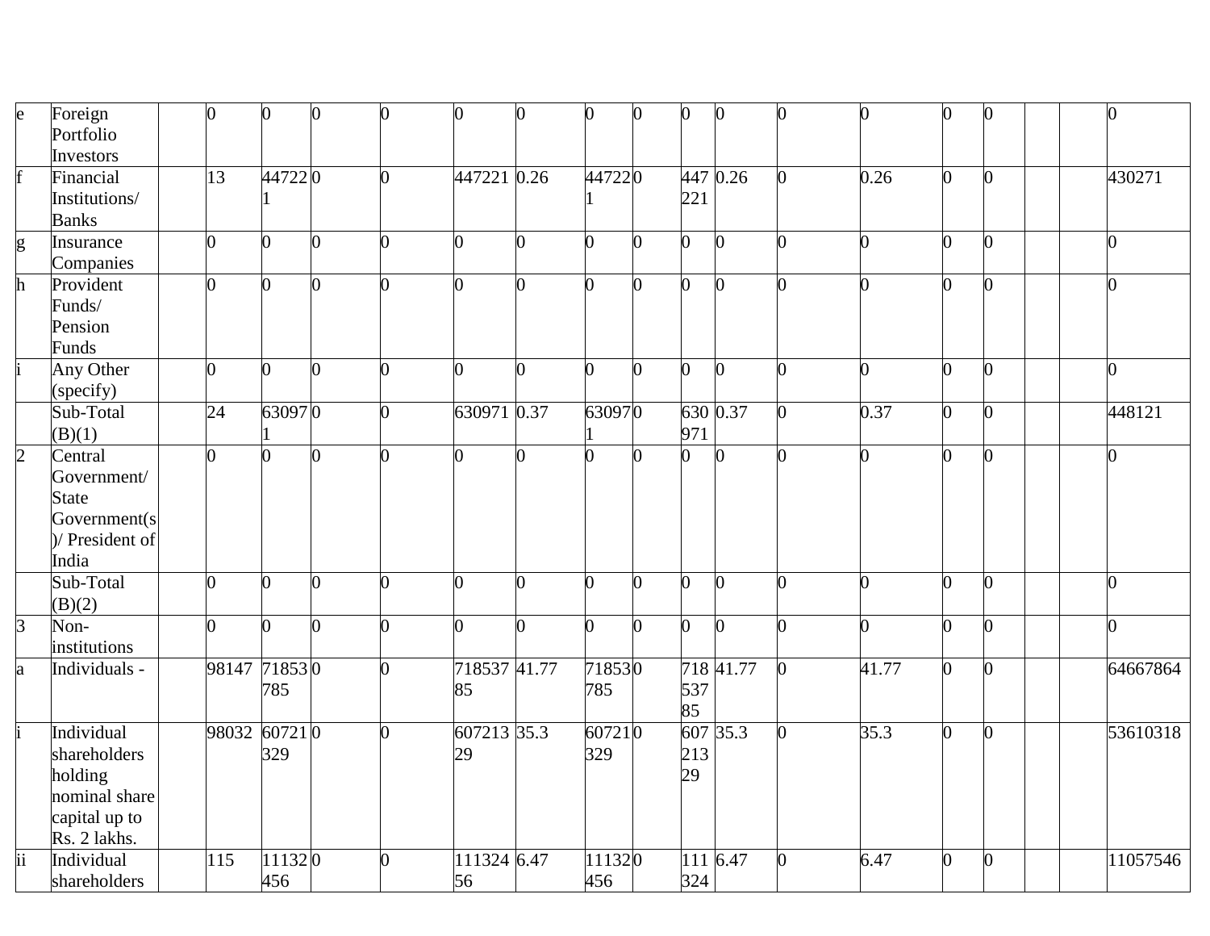| $\mathsf{e}$    | Foreign         | $\overline{0}$ | $\overline{0}$ |   | $\overline{0}$ | 0              | 0              | 0              | $\bf{0}$ | $\mathbf{0}$   | $\mathbf{0}$ | ∩              | 0              | $\overline{0}$ | $\overline{0}$ |
|-----------------|-----------------|----------------|----------------|---|----------------|----------------|----------------|----------------|----------|----------------|--------------|----------------|----------------|----------------|----------------|
|                 | Portfolio       |                |                |   |                |                |                |                |          |                |              |                |                |                |                |
|                 | Investors       |                |                |   |                |                |                |                |          |                |              |                |                |                |                |
| f               | Financial       | 13             | 447220         |   | $\overline{0}$ | 447221 0.26    |                | 447220         |          |                | 447 0.26     | 0.26           | $\overline{0}$ | $\overline{0}$ | 430271         |
|                 | Institutions/   |                |                |   |                |                |                |                |          | 221            |              |                |                |                |                |
|                 | <b>Banks</b>    |                |                |   |                |                |                |                |          |                |              |                |                |                |                |
| g               | Insurance       | $\overline{0}$ | $\Omega$       | ∩ | $\Omega$       | 0              | $\overline{0}$ | 0              | 0        | $\Omega$       | $\mathbf{0}$ | 0              | $\overline{0}$ | $\overline{0}$ | $\overline{0}$ |
|                 | Companies       |                |                |   |                |                |                |                |          |                |              |                |                |                |                |
| $\mathbf h$     | Provident       | $\overline{0}$ | $\overline{0}$ |   | 0              | 0              | O              | O.             | n        | $\overline{0}$ | $\Omega$     |                | 0              | 0              | $\overline{0}$ |
|                 | Funds/          |                |                |   |                |                |                |                |          |                |              |                |                |                |                |
|                 | Pension         |                |                |   |                |                |                |                |          |                |              |                |                |                |                |
|                 | Funds           |                |                |   |                |                |                |                |          |                |              |                |                |                |                |
|                 | Any Other       | $\Omega$       | 0              |   | 0              | 0              | ∩              | O.             | 0        | $\overline{0}$ | O.           | ∩              | 0              | $\Omega$       | $\overline{0}$ |
|                 | (specify)       |                |                |   |                |                |                |                |          |                |              |                |                |                |                |
|                 | Sub-Total       | 24             | 630970         |   | $\overline{0}$ | 630971 0.37    |                | 630970         |          |                | 630 0.37     | 0.37           | $\overline{0}$ | $\overline{0}$ | 448121         |
|                 | (B)(1)          |                |                |   |                |                |                |                |          | 971            |              |                |                |                |                |
| $\overline{2}$  | Central         | $\overline{0}$ | $\overline{0}$ | 0 | $\overline{0}$ | $\overline{0}$ |                | $\overline{0}$ | ∩        | $\Omega$       | $\Omega$     | ∩              | 0              | $\overline{0}$ | $\overline{0}$ |
|                 | Government/     |                |                |   |                |                |                |                |          |                |              |                |                |                |                |
|                 | <b>State</b>    |                |                |   |                |                |                |                |          |                |              |                |                |                |                |
|                 | Government(s    |                |                |   |                |                |                |                |          |                |              |                |                |                |                |
|                 | )/ President of |                |                |   |                |                |                |                |          |                |              |                |                |                |                |
|                 | India           |                |                |   |                |                |                |                |          |                |              |                |                |                |                |
|                 | Sub-Total       | $\overline{0}$ | 0              |   | $\overline{0}$ | 0              | O.             | ∩              | O        | $\overline{0}$ | $\Omega$     | ∩              | 0              | $\overline{0}$ | $\overline{0}$ |
|                 | (B)(2)          |                |                |   |                |                |                |                |          |                |              |                |                |                |                |
| $\overline{3}$  | Non-            | $\overline{0}$ | 0              |   | 0              | 0              |                | ∩              | 0        | $\overline{0}$ | 0            | ∩              | 0              | $\bf{0}$       | $\overline{0}$ |
|                 | institutions    |                |                |   |                |                |                |                |          |                |              |                |                |                |                |
| a               | Individuals -   | 98147 71853 0  |                |   | 0              | 718537 41.77   |                | 718530         |          |                | 718 41.77    | $\sqrt{41.77}$ | $\overline{0}$ | $\overline{0}$ | 64667864       |
|                 |                 |                | 785            |   |                | 85             |                | 785            |          | 537            |              |                |                |                |                |
|                 |                 |                |                |   |                |                |                |                |          | 85             |              |                |                |                |                |
|                 | Individual      | 98032 607210   |                |   | 0              | 607213 35.3    |                | 607210         |          | 607            | 35.3         | 35.3           | $\overline{0}$ | $\overline{0}$ | 53610318       |
|                 | shareholders    |                | 329            |   |                | 29             |                | 329            |          | 213            |              |                |                |                |                |
|                 | holding         |                |                |   |                |                |                |                |          | 29             |              |                |                |                |                |
|                 | nominal share   |                |                |   |                |                |                |                |          |                |              |                |                |                |                |
|                 | capital up to   |                |                |   |                |                |                |                |          |                |              |                |                |                |                |
|                 | Rs. 2 lakhs.    |                |                |   |                |                |                |                |          |                |              |                |                |                |                |
| $\overline{ii}$ | Individual      | 115            | 111320         |   | 0              | 111324 6.47    |                | 111320         |          | 111            | 6.47         | 6.47           | $\overline{0}$ | $\overline{0}$ | 11057546       |
|                 | shareholders    |                | 456            |   |                | 56             |                | 456            |          | 324            |              |                |                |                |                |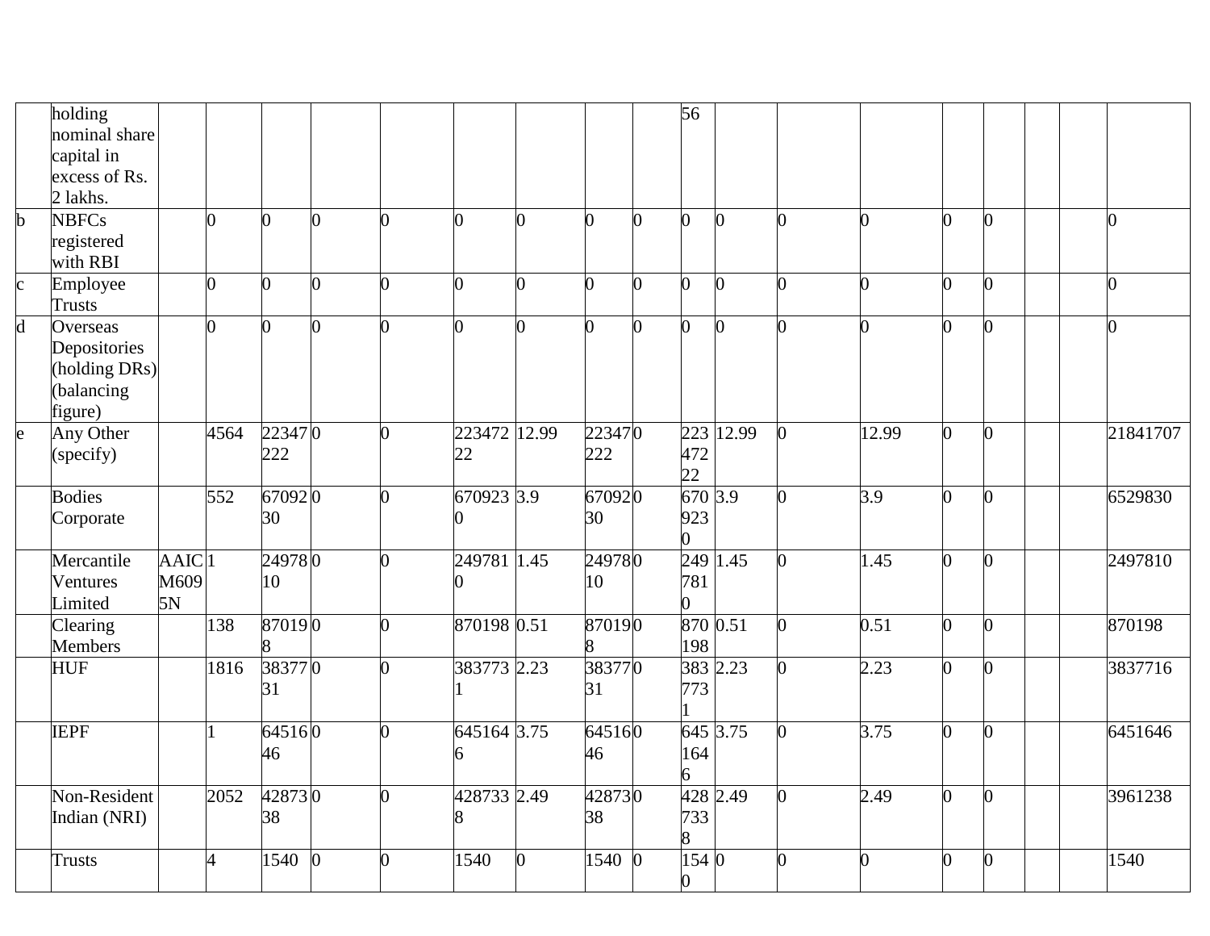|                         | holding        |             |          |          |                |                |                |                |          |    | $\overline{56}$ |           |   |          |                |                |                |          |
|-------------------------|----------------|-------------|----------|----------|----------------|----------------|----------------|----------------|----------|----|-----------------|-----------|---|----------|----------------|----------------|----------------|----------|
|                         | nominal share  |             |          |          |                |                |                |                |          |    |                 |           |   |          |                |                |                |          |
|                         | capital in     |             |          |          |                |                |                |                |          |    |                 |           |   |          |                |                |                |          |
|                         | excess of Rs.  |             |          |          |                |                |                |                |          |    |                 |           |   |          |                |                |                |          |
|                         | 2 lakhs.       |             |          |          |                |                |                |                |          |    |                 |           |   |          |                |                |                |          |
| $\mathbf b$             | <b>NBFCs</b>   |             | 0        | 0        | $\overline{0}$ | 0              | $\overline{0}$ | $\overline{0}$ | 0        | O. | $\Omega$        | $\Omega$  | 0 | O.       | 0              | 0              | 0              |          |
|                         | registered     |             |          |          |                |                |                |                |          |    |                 |           |   |          |                |                |                |          |
|                         | with RBI       |             |          |          |                |                |                |                |          |    |                 |           |   |          |                |                |                |          |
| $\mathbf{c}$            | Employee       |             | 0        | ሰ        | 0              | 0              | 0              | 0              | ∩        | ሰ  | O               |           |   |          | O.             |                | O              |          |
|                         | <b>Trusts</b>  |             |          |          |                |                |                |                |          |    |                 |           |   |          |                |                |                |          |
| $\overline{\mathsf{d}}$ | Overseas       |             | $\Omega$ | $\Omega$ | 0              | 0              | $\Omega$       | 0              | $\Omega$ | ∩  | $\overline{0}$  |           | O | ∩        | 0              |                | $\overline{0}$ |          |
|                         | Depositories   |             |          |          |                |                |                |                |          |    |                 |           |   |          |                |                |                |          |
|                         | (holding DRs)  |             |          |          |                |                |                |                |          |    |                 |           |   |          |                |                |                |          |
|                         | (balancing     |             |          |          |                |                |                |                |          |    |                 |           |   |          |                |                |                |          |
|                         | figure)        |             |          |          |                |                |                |                |          |    |                 |           |   |          |                |                |                |          |
| $\mathbf{e}$            | Any Other      |             | 4564     | 223470   |                | 0              | 223472 12.99   |                | 223470   |    |                 | 223 12.99 |   | 12.99    | $\overline{0}$ | $\overline{0}$ |                | 21841707 |
|                         | (specify)      |             |          | 222      |                |                | 22             |                | 222      |    | 472             |           |   |          |                |                |                |          |
|                         |                |             |          |          |                |                |                |                |          |    | 22              |           |   |          |                |                |                |          |
|                         | <b>Bodies</b>  |             | 552      | 670920   |                | 0              | 670923 3.9     |                | 670920   |    | 670 3.9         |           | n | 3.9      | 0              | $\overline{0}$ |                | 6529830  |
|                         | Corporate      |             |          | 30       |                |                |                |                | 30       |    | 923             |           |   |          |                |                |                |          |
|                         |                |             |          |          |                |                |                |                |          |    | 0               |           |   |          |                |                |                |          |
|                         | Mercantile     | <b>AAIC</b> |          | 249780   |                | 0              | 249781 1.45    |                | 249780   |    |                 | 249 1.45  |   | 1.45     | $\overline{0}$ | 0              |                | 2497810  |
|                         | Ventures       | M609        |          | 10       |                |                |                |                | 10       |    | 781             |           |   |          |                |                |                |          |
|                         | Limited        | 5N          |          |          |                |                |                |                |          |    |                 |           |   |          |                |                |                |          |
|                         | Clearing       |             | 138      | 870190   |                | 0              | 870198 0.51    |                | 870190   |    |                 | 870 0.51  |   | 0.51     | $\overline{0}$ | N              |                | 870198   |
|                         | <b>Members</b> |             |          |          |                |                |                |                |          |    | 198             |           |   |          |                |                |                |          |
|                         | <b>HUF</b>     |             | 1816     | 383770   |                | 0              | 383773 2.23    |                | 383770   |    |                 | 383 2.23  |   | 2.23     | 0              | 0              |                | 3837716  |
|                         |                |             |          | 31       |                |                |                |                | 31       |    | 773             |           |   |          |                |                |                |          |
|                         |                |             |          |          |                |                |                |                |          |    |                 |           |   |          |                |                |                |          |
|                         | <b>IEPF</b>    |             |          | 645160   |                | $\overline{0}$ | 645164 3.75    |                | 645160   |    |                 | 645 3.75  |   | 3.75     | 0              | 0              |                | 6451646  |
|                         |                |             |          | 46       |                |                | 6              |                | 46       |    | 164             |           |   |          |                |                |                |          |
|                         |                |             |          |          |                |                |                |                |          |    | 6               |           |   |          |                |                |                |          |
|                         | Non-Resident   |             | 2052     | 428730   |                | 0              | 428733 2.49    |                | 428730   |    |                 | 428 2.49  |   | 2.49     | 0              | $\overline{0}$ |                | 3961238  |
|                         | Indian (NRI)   |             |          | 38       |                |                | 8              |                | 38       |    | 733             |           |   |          |                |                |                |          |
|                         |                |             |          |          |                |                |                |                |          |    | 8               |           |   |          |                |                |                |          |
|                         | <b>Trusts</b>  |             | 4        | 1540     | $\Omega$       | 0              | 1540           | 0              | 1540     |    | 154 0           |           | ∩ | $\Omega$ | 0              | 0              |                | 1540     |
|                         |                |             |          |          |                |                |                |                |          |    | 0               |           |   |          |                |                |                |          |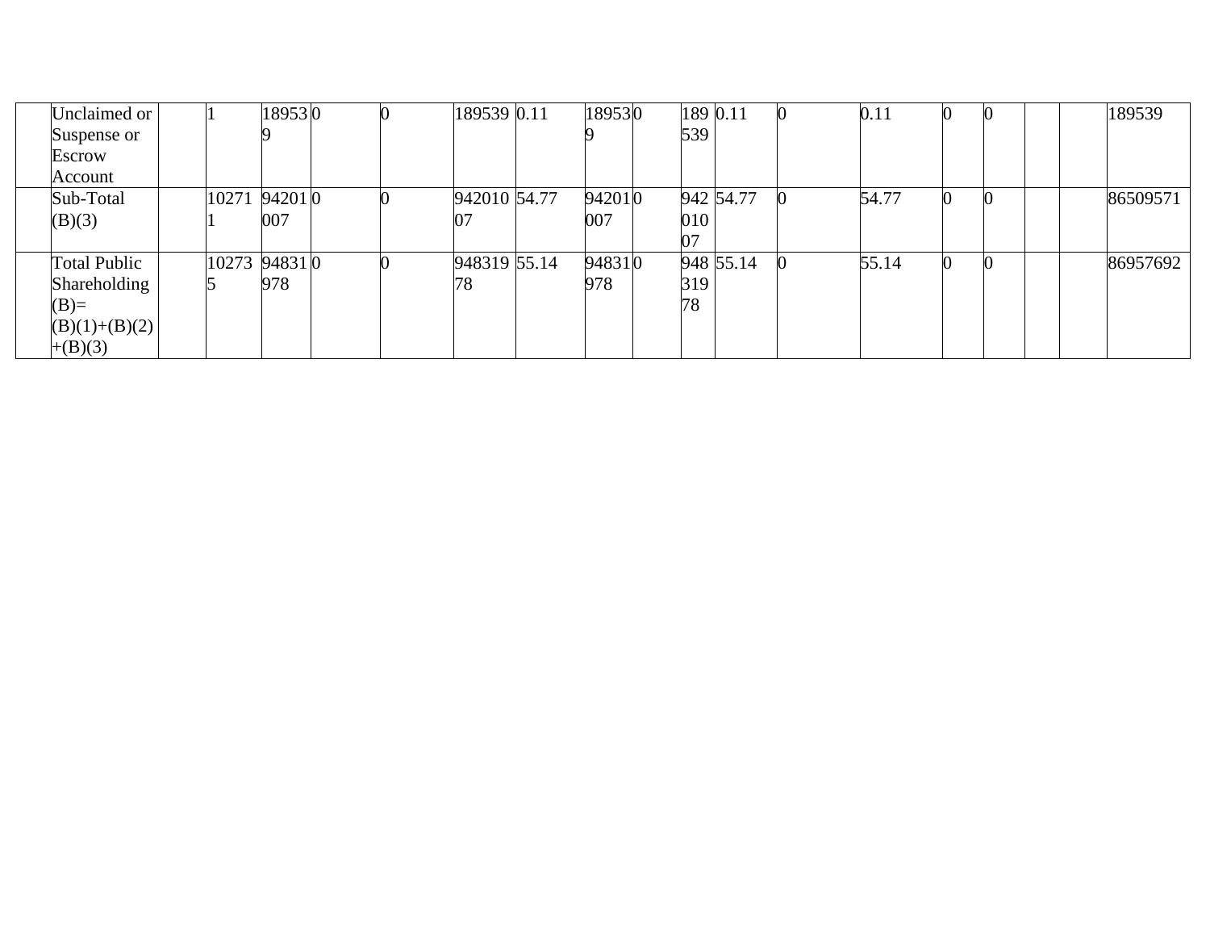| Unclaimed or    |               | 189530 |  | 189539 0.11  | 189530 | 189 0.11 |           | 0.11  |  | 189539   |
|-----------------|---------------|--------|--|--------------|--------|----------|-----------|-------|--|----------|
| Suspense or     |               |        |  |              |        | 539      |           |       |  |          |
| Escrow          |               |        |  |              |        |          |           |       |  |          |
| Account         |               |        |  |              |        |          |           |       |  |          |
| Sub-Total       | 10271 94201 0 |        |  | 942010 54.77 | 942010 |          | 942 54.77 | 54.77 |  | 86509571 |
| (B)(3)          |               | 007    |  | 07           | 007    | 010      |           |       |  |          |
|                 |               |        |  |              |        | ገ7       |           |       |  |          |
| Total Public    | 10273 94831 0 |        |  | 948319 55.14 | 948310 |          | 948 55.14 | 55.14 |  | 86957692 |
| Shareholding    |               | 978    |  | 78           | 978    | 319      |           |       |  |          |
| $(B)=$          |               |        |  |              |        | 78       |           |       |  |          |
| $(B)(1)+(B)(2)$ |               |        |  |              |        |          |           |       |  |          |
| $+(B)(3)$       |               |        |  |              |        |          |           |       |  |          |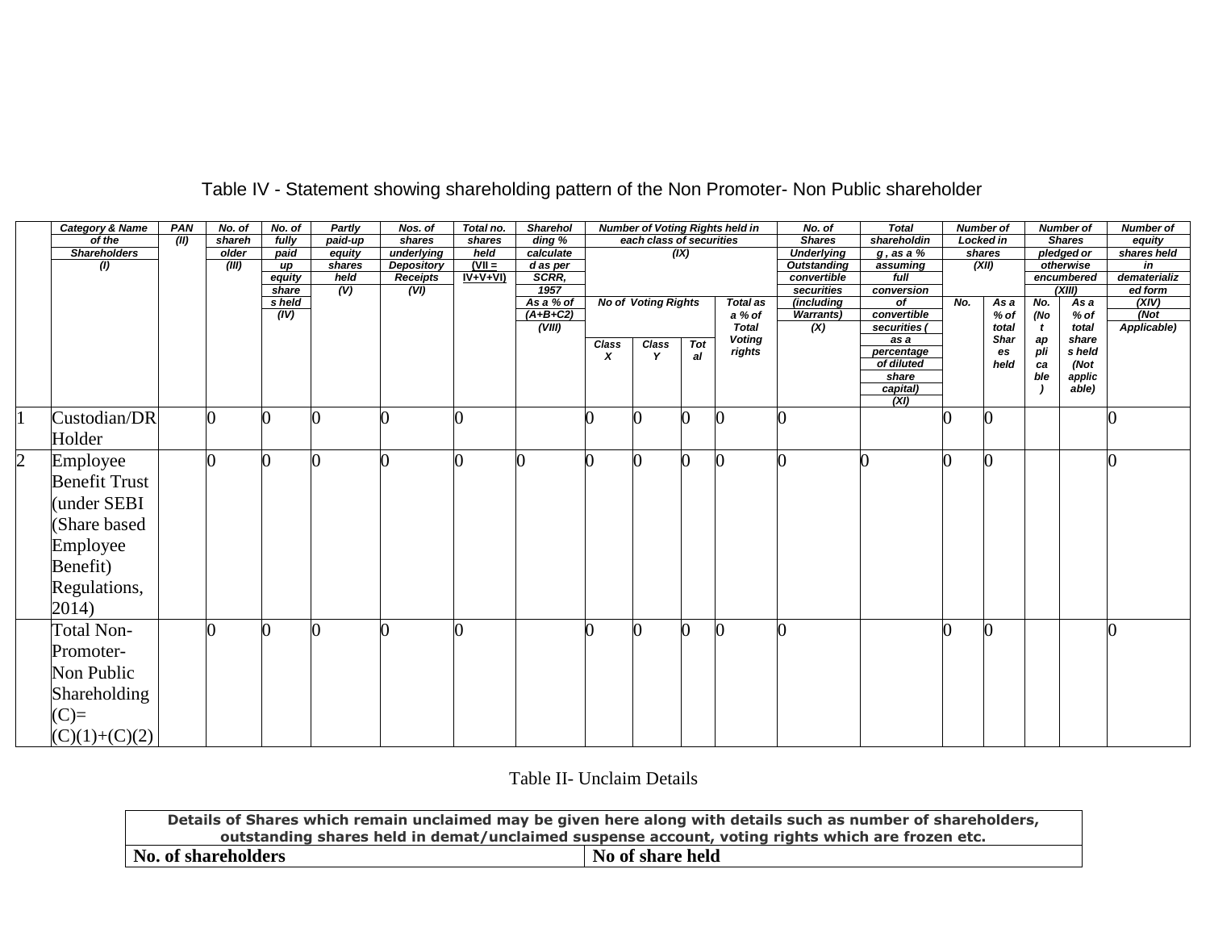|                | <b>Category &amp; Name</b> | PAN  | No. of | No. of          | <b>Partly</b> | Nos. of           | Total no. | <b>Sharehol</b>     |       |                            |      | <b>Number of Voting Rights held in</b> | No. of                   | <b>Total</b>     |     | <b>Number of</b> |     | <b>Number of</b> | <b>Number of</b> |
|----------------|----------------------------|------|--------|-----------------|---------------|-------------------|-----------|---------------------|-------|----------------------------|------|----------------------------------------|--------------------------|------------------|-----|------------------|-----|------------------|------------------|
|                | of the                     | (II) | shareh | fully           | paid-up       | shares            | shares    | $\overline{ding}$ % |       | each class of securities   |      |                                        | <b>Shares</b>            | shareholdin      |     | <b>Locked in</b> |     | <b>Shares</b>    | equity           |
|                | <b>Shareholders</b>        |      | older  | paid            | equity        | underlying        | held      | calculate           |       |                            | (IX) |                                        | <b>Underlying</b>        | $g$ , as a %     |     | shares           |     | pledged or       | shares held      |
|                | $\left( l\right)$          |      | (III)  | up              | shares        | <b>Depository</b> | $(VII =$  | d as per            |       |                            |      |                                        | <b>Outstanding</b>       | assuming         |     | (XII)            |     | otherwise        | in               |
|                |                            |      |        | equity          | held          | <b>Receipts</b>   | $IV+V+VI$ | SCRR,               |       |                            |      |                                        | convertible              | full             |     |                  |     | encumbered       | dematerializ     |
|                |                            |      |        | share<br>s held | (V)           | (VI)              |           | 1957<br>As a % of   |       | <b>No of Voting Rights</b> |      | <b>Total as</b>                        | securities<br>(including | conversion<br>of | No. | As a             | No. | (XIII)           | ed form<br>(XIV) |
|                |                            |      |        | (IV)            |               |                   |           | $(A+B+C2)$          |       |                            |      | a % of                                 | <b>Warrants</b> )        | convertible      |     | % of             | (No | As a<br>% of     | (Not)            |
|                |                            |      |        |                 |               |                   |           | (VIII)              |       |                            |      | <b>Total</b>                           | (X)                      | securities (     |     | total            | t   | total            | Applicable)      |
|                |                            |      |        |                 |               |                   |           |                     | Class | <b>Class</b>               | Tot  | <b>Voting</b>                          |                          | as a             |     | <b>Shar</b>      | ap  | share            |                  |
|                |                            |      |        |                 |               |                   |           |                     | x     | Y                          | al   | rights                                 |                          | percentage       |     | es               | pli | s held           |                  |
|                |                            |      |        |                 |               |                   |           |                     |       |                            |      |                                        |                          | of diluted       |     | held             | ca  | (Not             |                  |
|                |                            |      |        |                 |               |                   |           |                     |       |                            |      |                                        |                          | share            |     |                  | ble | applic           |                  |
|                |                            |      |        |                 |               |                   |           |                     |       |                            |      |                                        |                          | capital)         |     |                  |     | able)            |                  |
|                |                            |      |        |                 |               |                   |           |                     |       |                            |      |                                        |                          | (XI)             |     |                  |     |                  |                  |
|                | Custodian/DR               |      |        |                 |               |                   |           |                     |       |                            |      |                                        |                          |                  |     | O                |     |                  |                  |
|                | Holder                     |      |        |                 |               |                   |           |                     |       |                            |      |                                        |                          |                  |     |                  |     |                  |                  |
|                |                            |      |        |                 |               |                   |           |                     |       |                            |      |                                        |                          |                  |     |                  |     |                  |                  |
| $\overline{2}$ | Employee                   |      |        |                 |               |                   |           |                     |       |                            |      |                                        |                          |                  |     |                  |     |                  |                  |
|                | <b>Benefit Trust</b>       |      |        |                 |               |                   |           |                     |       |                            |      |                                        |                          |                  |     |                  |     |                  |                  |
|                |                            |      |        |                 |               |                   |           |                     |       |                            |      |                                        |                          |                  |     |                  |     |                  |                  |
|                | under SEBI                 |      |        |                 |               |                   |           |                     |       |                            |      |                                        |                          |                  |     |                  |     |                  |                  |
|                | Share based                |      |        |                 |               |                   |           |                     |       |                            |      |                                        |                          |                  |     |                  |     |                  |                  |
|                |                            |      |        |                 |               |                   |           |                     |       |                            |      |                                        |                          |                  |     |                  |     |                  |                  |
|                | Employee                   |      |        |                 |               |                   |           |                     |       |                            |      |                                        |                          |                  |     |                  |     |                  |                  |
|                | Benefit)                   |      |        |                 |               |                   |           |                     |       |                            |      |                                        |                          |                  |     |                  |     |                  |                  |
|                | Regulations,               |      |        |                 |               |                   |           |                     |       |                            |      |                                        |                          |                  |     |                  |     |                  |                  |
|                |                            |      |        |                 |               |                   |           |                     |       |                            |      |                                        |                          |                  |     |                  |     |                  |                  |
|                | 2014)                      |      |        |                 |               |                   |           |                     |       |                            |      |                                        |                          |                  |     |                  |     |                  |                  |
|                | Total Non-                 |      |        |                 |               |                   |           |                     |       |                            |      |                                        |                          |                  |     | $\Omega$         |     |                  |                  |
|                | Promoter-                  |      |        |                 |               |                   |           |                     |       |                            |      |                                        |                          |                  |     |                  |     |                  |                  |
|                |                            |      |        |                 |               |                   |           |                     |       |                            |      |                                        |                          |                  |     |                  |     |                  |                  |
|                | Non Public                 |      |        |                 |               |                   |           |                     |       |                            |      |                                        |                          |                  |     |                  |     |                  |                  |
|                | <b>Shareholding</b>        |      |        |                 |               |                   |           |                     |       |                            |      |                                        |                          |                  |     |                  |     |                  |                  |
|                | $(C)=$                     |      |        |                 |               |                   |           |                     |       |                            |      |                                        |                          |                  |     |                  |     |                  |                  |
|                |                            |      |        |                 |               |                   |           |                     |       |                            |      |                                        |                          |                  |     |                  |     |                  |                  |
|                | $(C)(1)+(C)(2)$            |      |        |                 |               |                   |           |                     |       |                            |      |                                        |                          |                  |     |                  |     |                  |                  |

## Table IV - Statement showing shareholding pattern of the Non Promoter- Non Public shareholder

Table II- Unclaim Details

|                                                | Details of Shares which remain unclaimed may be given here along with details such as number of shareholders, |  |  |  |  |  |  |  |  |
|------------------------------------------------|---------------------------------------------------------------------------------------------------------------|--|--|--|--|--|--|--|--|
|                                                | outstanding shares held in demat/unclaimed suspense account, voting rights which are frozen etc.              |  |  |  |  |  |  |  |  |
| No of share held<br><b>No. of shareholders</b> |                                                                                                               |  |  |  |  |  |  |  |  |